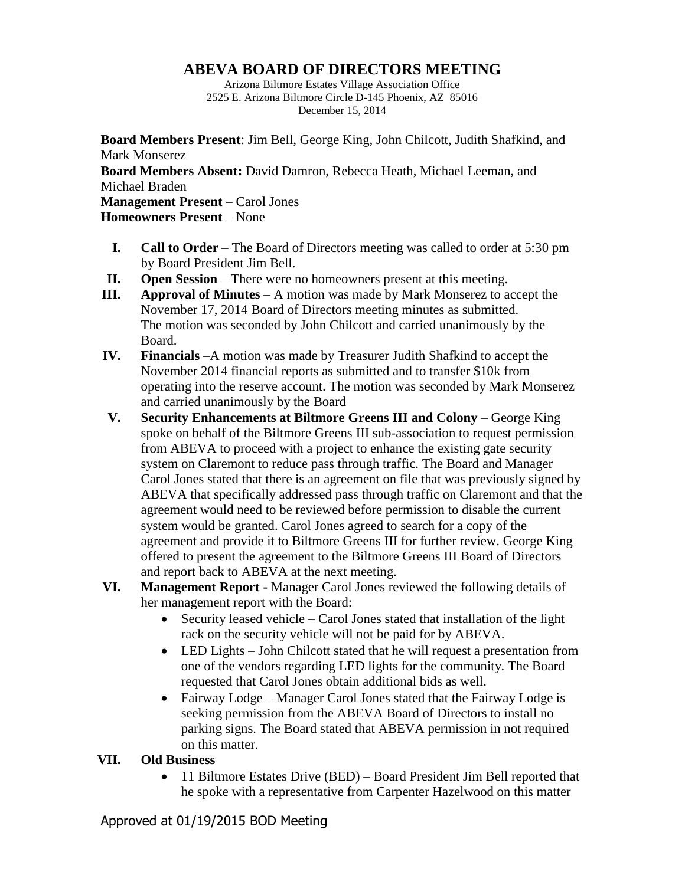## **ABEVA BOARD OF DIRECTORS MEETING**

Arizona Biltmore Estates Village Association Office 2525 E. Arizona Biltmore Circle D-145 Phoenix, AZ 85016 December 15, 2014

**Board Members Present**: Jim Bell, George King, John Chilcott, Judith Shafkind, and Mark Monserez **Board Members Absent:** David Damron, Rebecca Heath, Michael Leeman, and Michael Braden **Management Present** – Carol Jones **Homeowners Present** – None

- **I. Call to Order** The Board of Directors meeting was called to order at 5:30 pm by Board President Jim Bell.
- **II. Open Session** There were no homeowners present at this meeting.
- **III. Approval of Minutes** A motion was made by Mark Monserez to accept the November 17, 2014 Board of Directors meeting minutes as submitted. The motion was seconded by John Chilcott and carried unanimously by the Board.
- **IV. Financials** –A motion was made by Treasurer Judith Shafkind to accept the November 2014 financial reports as submitted and to transfer \$10k from operating into the reserve account. The motion was seconded by Mark Monserez and carried unanimously by the Board
- **V. Security Enhancements at Biltmore Greens III and Colony** George King spoke on behalf of the Biltmore Greens III sub-association to request permission from ABEVA to proceed with a project to enhance the existing gate security system on Claremont to reduce pass through traffic. The Board and Manager Carol Jones stated that there is an agreement on file that was previously signed by ABEVA that specifically addressed pass through traffic on Claremont and that the agreement would need to be reviewed before permission to disable the current system would be granted. Carol Jones agreed to search for a copy of the agreement and provide it to Biltmore Greens III for further review. George King offered to present the agreement to the Biltmore Greens III Board of Directors and report back to ABEVA at the next meeting.
- **VI. Management Report -** Manager Carol Jones reviewed the following details of her management report with the Board:
	- $\bullet$  Security leased vehicle Carol Jones stated that installation of the light rack on the security vehicle will not be paid for by ABEVA.
	- LED Lights John Chilcott stated that he will request a presentation from one of the vendors regarding LED lights for the community. The Board requested that Carol Jones obtain additional bids as well.
	- Fairway Lodge Manager Carol Jones stated that the Fairway Lodge is seeking permission from the ABEVA Board of Directors to install no parking signs. The Board stated that ABEVA permission in not required on this matter.

## **VII. Old Business**

• 11 Biltmore Estates Drive (BED) – Board President Jim Bell reported that he spoke with a representative from Carpenter Hazelwood on this matter